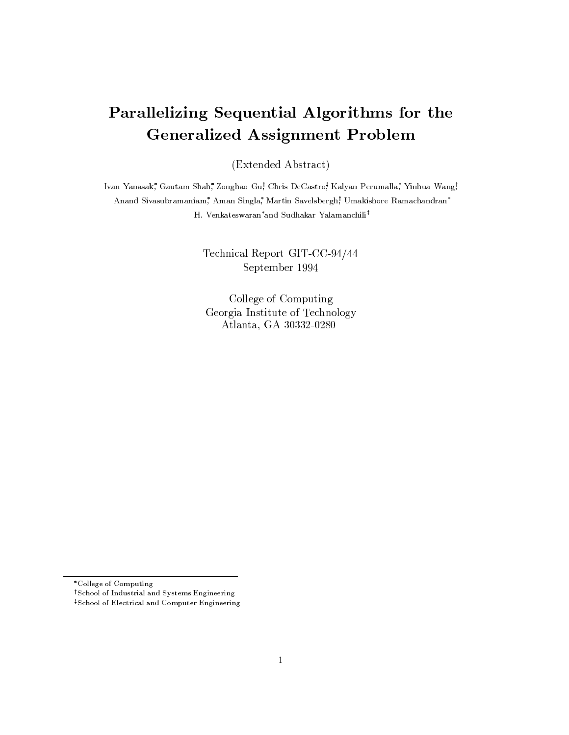# Parallelizing Sequential Algorithms for the **Generalized Assignment Problem**

(Extended Abstract)

Ivan Yanasak,\* Gautam Shah,\* Zonghao Gu! Chris DeCastro!\* Kalyan Perumalla,\* Yinhua Wang! Anand Sivasubramaniam, Aman Singla, Martin Savelsbergh, Umakishore Ramachandran\* H. Venkateswaran\*and Sudhakar Yalamanchili<sup>‡</sup>

> Technical Report GIT-CC-94/44 September 1994

College of Computing Georgia Institute of Technology Atlanta, GA 30332-0280

<sup>\*</sup>College of Computing

<sup>&</sup>lt;sup>†</sup>School of Industrial and Systems Engineering

<sup>&</sup>lt;sup>‡</sup>School of Electrical and Computer Engineering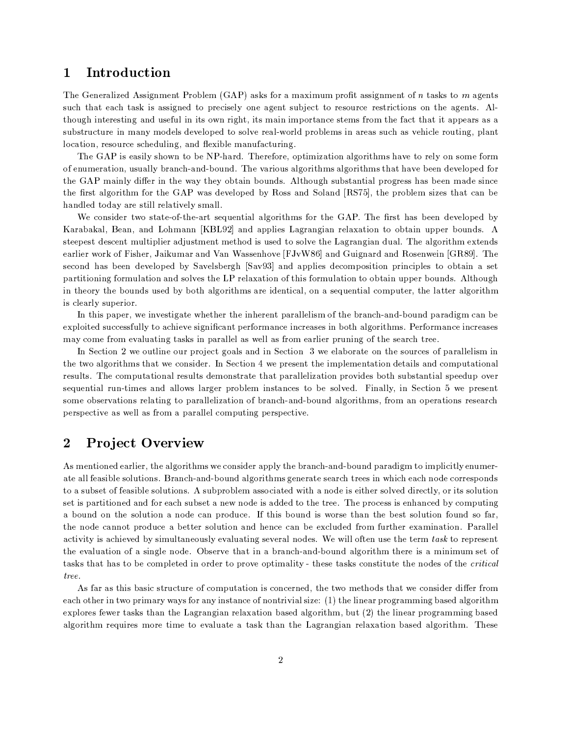### Introduction  $\mathbf 1$

The Generalized Assignment Problem (GAP) asks for a maximum profit assignment of n tasks to m agents such that each task is assigned to precisely one agent subject to resource restrictions on the agents. Although interesting and useful in its own right, its main importance stems from the fact that it appears as a substructure in many models developed to solve real-world problems in areas such as vehicle routing, plant location, resource scheduling, and flexible manufacturing.

The GAP is easily shown to be NP-hard. Therefore, optimization algorithms have to rely on some form of enumeration, usually branch-and-bound. The various algorithms algorithms that have been developed for the GAP mainly differ in the way they obtain bounds. Although substantial progress has been made since the first algorithm for the GAP was developed by Ross and Soland [RS75], the problem sizes that can be handled today are still relatively small.

We consider two state-of-the-art sequential algorithms for the GAP. The first has been developed by Karabakal, Bean, and Lohmann [KBL92] and applies Lagrangian relaxation to obtain upper bounds. A steepest descent multiplier adjustment method is used to solve the Lagrangian dual. The algorithm extends earlier work of Fisher, Jaikumar and Van Wassenhove [FJvW86] and Guignard and Rosenwein [GR89]. The second has been developed by Savelsbergh [Sav93] and applies decomposition principles to obtain a set partitioning formulation and solves the LP relaxation of this formulation to obtain upper bounds. Although in theory the bounds used by both algorithms are identical, on a sequential computer, the latter algorithm is clearly superior.

In this paper, we investigate whether the inherent parallelism of the branch-and-bound paradigm can be exploited successfully to achieve significant performance increases in both algorithms. Performance increases may come from evaluating tasks in parallel as well as from earlier pruning of the search tree.

In Section 2 we outline our project goals and in Section 3 we elaborate on the sources of parallelism in the two algorithms that we consider. In Section 4 we present the implementation details and computational results. The computational results demonstrate that parallelization provides both substantial speedup over sequential run-times and allows larger problem instances to be solved. Finally, in Section 5 we present some observations relating to parallelization of branch-and-bound algorithms, from an operations research perspective as well as from a parallel computing perspective.

### $\overline{2}$ **Project Overview**

As mentioned earlier, the algorithms we consider apply the branch-and-bound paradigm to implicitly enumerate all feasible solutions. Branch-and-bound algorithms generate search trees in which each node corresponds to a subset of feasible solutions. A subproblem associated with a node is either solved directly, or its solution set is partitioned and for each subset a new node is added to the tree. The process is enhanced by computing a bound on the solution a node can produce. If this bound is worse than the best solution found so far, the node cannot produce a better solution and hence can be excluded from further examination. Parallel activity is achieved by simultaneously evaluating several nodes. We will often use the term task to represent the evaluation of a single node. Observe that in a branch-and-bound algorithm there is a minimum set of tasks that has to be completed in order to prove optimality - these tasks constitute the nodes of the *critical* tree.

As far as this basic structure of computation is concerned, the two methods that we consider differ from each other in two primary ways for any instance of nontrivial size: (1) the linear programming based algorithm explores fewer tasks than the Lagrangian relaxation based algorithm, but (2) the linear programming based algorithm requires more time to evaluate a task than the Lagrangian relaxation based algorithm. These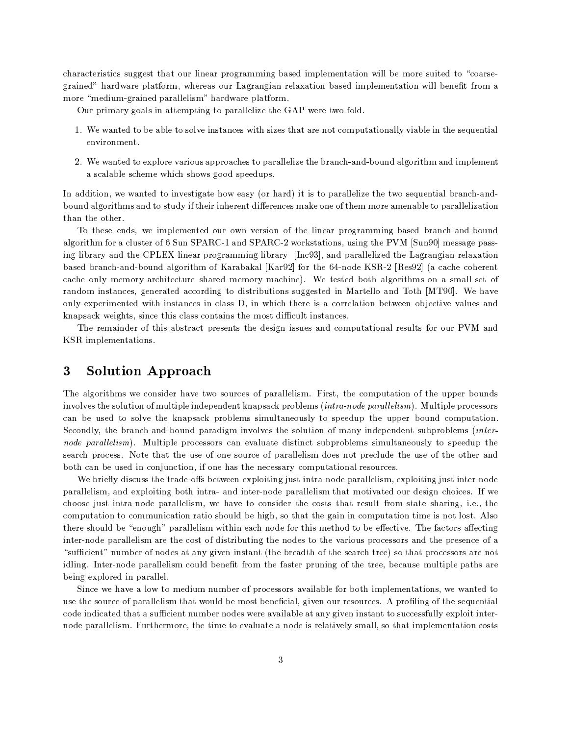characteristics suggest that our linear programming based implementation will be more suited to "coarsegrained" hardware platform, whereas our Lagrangian relaxation based implementation will benefit from a more "medium-grained parallelism" hardware platform.

Our primary goals in attempting to parallelize the GAP were two-fold.

- 1. We wanted to be able to solve instances with sizes that are not computationally viable in the sequential environment.
- 2. We wanted to explore various approaches to parallelize the branch-and-bound algorithm and implement a scalable scheme which shows good speedups.

In addition, we wanted to investigate how easy (or hard) it is to parallelize the two sequential branch-andbound algorithms and to study if their inherent differences make one of them more amenable to parallelization than the other.

To these ends, we implemented our own version of the linear programming based branch-and-bound algorithm for a cluster of 6 Sun SPARC-1 and SPARC-2 workstations, using the PVM [Sun90] message passing library and the CPLEX linear programming library [Inc93], and parallelized the Lagrangian relaxation based branch-and-bound algorithm of Karabakal [Kar92] for the 64-node KSR-2 [Res92] (a cache coherent cache only memory architecture shared memory machine). We tested both algorithms on a small set of random instances, generated according to distributions suggested in Martello and Toth [MT90]. We have only experimented with instances in class D, in which there is a correlation between objective values and knapsack weights, since this class contains the most difficult instances.

The remainder of this abstract presents the design issues and computational results for our PVM and KSR implementations.

### 3 Solution Approach

The algorithms we consider have two sources of parallelism. First, the computation of the upper bounds involves the solution of multiple independent knapsack problems *(intra-node parallelism)*. Multiple processors can be used to solve the knapsack problems simultaneously to speedup the upper bound computation. Secondly, the branch-and-bound paradigm involves the solution of many independent subproblems *(inter*node parallelism). Multiple processors can evaluate distinct subproblems simultaneously to speedup the search process. Note that the use of one source of parallelism does not preclude the use of the other and both can be used in conjunction, if one has the necessary computational resources.

We briefly discuss the trade-offs between exploiting just intra-node parallelism, exploiting just inter-node parallelism, and exploiting both intra- and inter-node parallelism that motivated our design choices. If we choose just intra-node parallelism, we have to consider the costs that result from state sharing, i.e., the computation to communication ratio should be high, so that the gain in computation time is not lost. Also there should be "enough" parallelism within each node for this method to be effective. The factors affecting inter-node parallelism are the cost of distributing the nodes to the various processors and the presence of a "sufficient" number of nodes at any given instant (the breadth of the search tree) so that processors are not idling. Inter-node parallelism could benefit from the faster pruning of the tree, because multiple paths are being explored in parallel.

Since we have a low to medium number of processors available for both implementations, we wanted to use the source of parallelism that would be most beneficial, given our resources. A profiling of the sequential code indicated that a sufficient number nodes were available at any given instant to successfully exploit internode parallelism. Furthermore, the time to evaluate a node is relatively small, so that implementation costs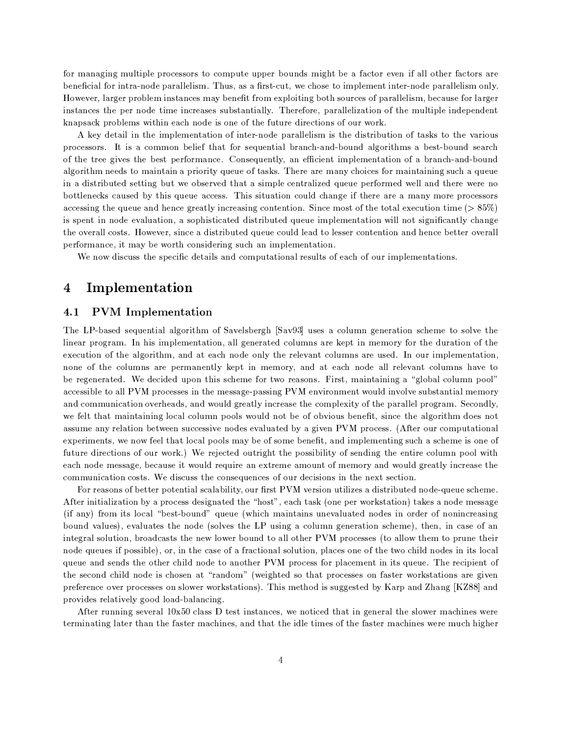for managing multiple processors to compute upper bounds might be a factor even if all other factors are beneficial for intra-node parallelism. Thus, as a first-cut, we chose to implement inter-node parallelism only. However, larger problem instances may benefit from exploiting both sources of parallelism, because for larger instances the per node time increases substantially. Therefore, parallelization of the multiple independent knapsack problems within each node is one of the future directions of our work.

A key detail in the implementation of inter-node parallelism is the distribution of tasks to the various processors. It is a common belief that for sequential branch-and-bound algorithms a best-bound search of the tree gives the best performance. Consequently, an efficient implementation of a branch-and-bound algorithm needs to maintain a priority queue of tasks. There are many choices for maintaining such a queue in a distributed setting but we observed that a simple centralized queue performed well and there were no bottlenecks caused by this queue access. This situation could change if there are a many more processors accessing the queue and hence greatly increasing contention. Since most of the total execution time ( $>85\%$ ) is spent in node evaluation, a sophisticated distributed queue implementation will not significantly change the overall costs. However, since a distributed queue could lead to lesser contention and hence better overall performance, it may be worth considering such an implementation.

We now discuss the specific details and computational results of each of our implementations.

### $\bold{Implement}$ 4

### **PVM** Implementation  $4.1$

The LP-based sequential algorithm of Savelsbergh [Sav93] uses a column generation scheme to solve the linear program. In his implementation, all generated columns are kept in memory for the duration of the execution of the algorithm, and at each node only the relevant columns are used. In our implementation, none of the columns are permanently kept in memory, and at each node all relevant columns have to be regenerated. We decided upon this scheme for two reasons. First, maintaining a "global column pool" accessible to all PVM processes in the message-passing PVM environment would involve substantial memory and communication overheads, and would greatly increase the complexity of the parallel program. Secondly, we felt that maintaining local column pools would not be of obvious benefit, since the algorithm does not assume any relation between successive nodes evaluated by a given PVM process. (After our computational experiments, we now feel that local pools may be of some benefit, and implementing such a scheme is one of future directions of our work.) We rejected outright the possibility of sending the entire column pool with each node message, because it would require an extreme amount of memory and would greatly increase the communication costs. We discuss the consequences of our decisions in the next section.

For reasons of better potential scalability, our first PVM version utilizes a distributed node-queue scheme. After initialization by a process designated the "host", each task (one per workstation) takes a node message (if any) from its local "best-bound" queue (which maintains unevaluated nodes in order of nonincreasing bound values), evaluates the node (solves the LP using a column generation scheme), then, in case of an integral solution, broadcasts the new lower bound to all other PVM processes (to allow them to prune their node queues if possible), or, in the case of a fractional solution, places one of the two child nodes in its local queue and sends the other child node to another PVM process for placement in its queue. The recipient of the second child node is chosen at "random" (weighted so that processes on faster workstations are given preference over processes on slower workstations). This method is suggested by Karp and Zhang [KZ88] and provides relatively good load-balancing.

After running several 10x50 class D test instances, we noticed that in general the slower machines were terminating later than the faster machines, and that the idle times of the faster machines were much higher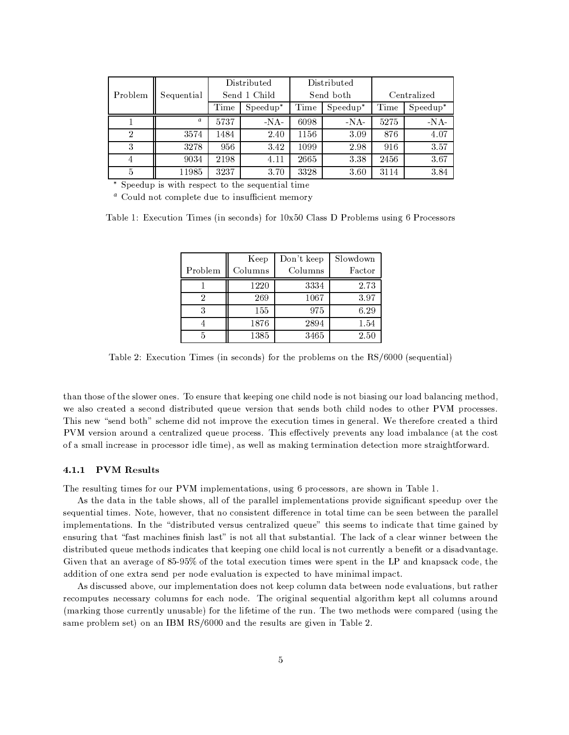|                |            | Distributed  |             | Distributed |                 |             |                         |
|----------------|------------|--------------|-------------|-------------|-----------------|-------------|-------------------------|
| Problem        | Sequential | Send 1 Child |             | Send both   |                 | Centralized |                         |
|                |            | Time         | $S$ peedup* | Time        | $S$ peed $up^*$ | Time        | $S$ peedup <sup>*</sup> |
|                | a          | 5737         | $-NA-$      | 6098        | $-NA-$          | 5275        | $\mbox{-NA-}$           |
| $\overline{2}$ | 3574       | 1484         | 2.40        | 1156        | 3.09            | 876         | 4.07                    |
| 3              | 3278       | 956          | 3.42        | 1099        | 2.98            | 916         | 3.57                    |
| 4              | 9034       | 2198         | 4.11        | 2665        | 3.38            | 2456        | 3.67                    |
| 5              | 11985      | 3237         | 3.70        | 3328        | 3.60            | 3114        | 3.84                    |

\* Speedup is with respect to the sequential time

<sup>a</sup> Could not complete due to insufficient memory

Table 1: Execution Times (in seconds) for  $10x50$  Class D Problems using 6 Processors

|         | Keep    | Don't keep | Slowdown |
|---------|---------|------------|----------|
| Problem | Columns | Columns    | Factor   |
|         | 1220    | 3334       | 2.73     |
| 2       | 269     | 1067       | 3.97     |
|         | 155     | 975        | 6.29     |
|         | 1876    | 2894       | 1.54     |
|         | 1385    | 3465       | 2.50     |

Table 2: Execution Times (in seconds) for the problems on the RS/6000 (sequential)

than those of the slower ones. To ensure that keeping one child node is not biasing our load balancing method, we also created a second distributed queue version that sends both child nodes to other PVM processes. This new "send both" scheme did not improve the execution times in general. We therefore created a third PVM version around a centralized queue process. This effectively prevents any load imbalance (at the cost of a small increase in processor idle time), as well as making termination detection more straightforward.

### 4.1.1 PVM Results

The resulting times for our PVM implementations, using 6 processors, are shown in Table 1.

As the data in the table shows, all of the parallel implementations provide significant speedup over the sequential times. Note, however, that no consistent difference in total time can be seen between the parallel implementations. In the "distributed versus centralized queue" this seems to indicate that time gained by ensuring that "fast machines finish last" is not all that substantial. The lack of a clear winner between the distributed queue methods indicates that keeping one child local is not currently a benefit or a disadvantage. Given that an average of 85-95% of the total execution times were spent in the LP and knapsack code, the addition of one extra send per node evaluation is expected to have minimal impact.

As discussed above, our implementation does not keep column data between node evaluations, but rather recomputes necessary columns for each node. The original sequential algorithm kept all columns around (marking those currently unusable) for the lifetime of the run. The two methods were compared (using the same problem set) on an IBM RS/6000 and the results are given in Table 2.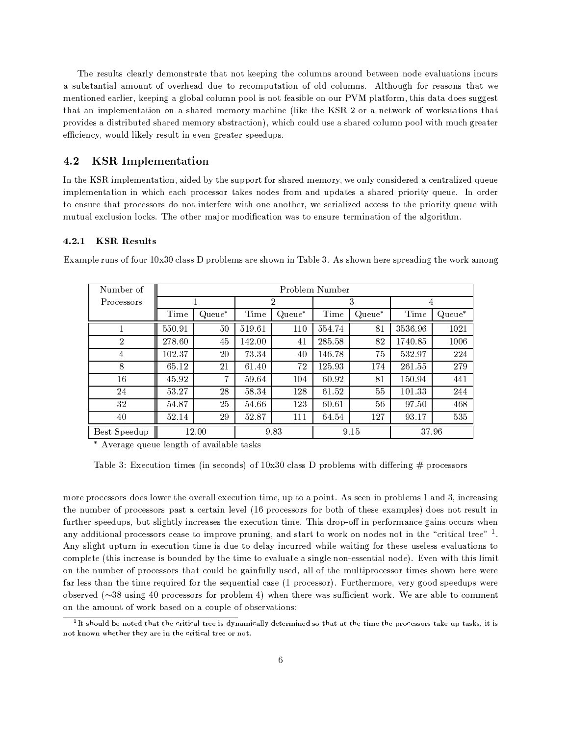The results clearly demonstrate that not keeping the columns around between node evaluations incurs a substantial amount of overhead due to recomputation of old columns. Although for reasons that we mentioned earlier, keeping a global column pool is not feasible on our PVM platform, this data does suggest that an implementation on a shared memory machine (like the KSR-2 or a network of workstations that provides a distributed shared memory abstraction), which could use a shared column pool with much greater efficiency, would likely result in even greater speedups.

#### $4.2\,$ **KSR** Implementation

In the KSR implementation, aided by the support for shared memory, we only considered a centralized queue implementation in which each processor takes nodes from and updates a shared priority queue. In order to ensure that processors do not interfere with one another, we serialized access to the priority queue with mutual exclusion locks. The other major modification was to ensure termination of the algorithm.

### 4.2.1 KSR Results

| Number of      | Problem Number |        |                |           |        |        |         |        |  |
|----------------|----------------|--------|----------------|-----------|--------|--------|---------|--------|--|
| Processors     |                |        | $\overline{2}$ |           | 3      |        | 4       |        |  |
|                | Time           | Queue* | Time           | $Queue^*$ | Time   | Queue* | Time    | Queue* |  |
|                | 550.91         | 50     | 519.61         | 110       | 554.74 | 81     | 3536.96 | 1021   |  |
| $\overline{2}$ | 278.60         | 45     | 142.00         | 41        | 285.58 | 82     | 1740.85 | 1006   |  |
| $\overline{4}$ | 102.37         | 20     | 73.34          | 40        | 146.78 | 75     | 532.97  | 224    |  |
| 8              | 65.12          | 21     | 61.40          | 72        | 125.93 | 174    | 261.55  | 279    |  |
| 16             | 45.92          | 7      | 59.64          | 104       | 60.92  | 81     | 150.94  | 441    |  |
| 24             | 53.27          | 28     | 58.34          | 128       | 61.52  | 55     | 101.33  | 244    |  |
| 32             | 54.87          | 25     | 54.66          | 123       | 60.61  | 56     | 97.50   | 468    |  |
| 40             | 52.14          | 29     | 52.87          | 111       | 64.54  | 127    | 93.17   | 535    |  |
| Best Speedup   | 12.00          |        | 9.83           |           | 9.15   |        | 37.96   |        |  |

Example runs of four 10x30 class D problems are shown in Table 3. As shown here spreading the work among

\* Average queue length of available tasks

Table 3: Execution times (in seconds) of  $10x30$  class D problems with differing # processors

more processors does lower the overall execution time, up to a point. As seen in problems 1 and 3, increasing the number of processors past a certain level (16 processors for both of these examples) does not result in further speedups, but slightly increases the execution time. This drop-off in performance gains occurs when any additional processors cease to improve pruning, and start to work on nodes not in the "critical tree"  $\frac{1}{1}$ . Any slight upturn in execution time is due to delay incurred while waiting for these useless evaluations to complete (this increase is bounded by the time to evaluate a single non-essential node). Even with this limit on the number of processors that could be gainfully used, all of the multiprocessor times shown here were far less than the time required for the sequential case (1 processor). Furthermore, very good speedups were observed  $(\sim 38$  using 40 processors for problem 4) when there was sufficient work. We are able to comment on the amount of work based on a couple of observations:

 $1$ It should be noted that the critical tree is dynamically determined so that at the time the processors take up tasks, it is not known whether they are in the critical tree or not.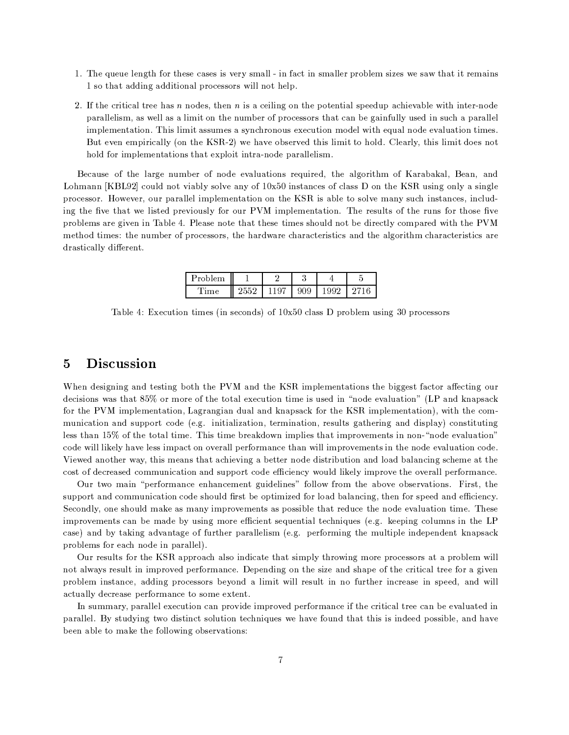- 1. The queue length for these cases is very small in fact in smaller problem sizes we saw that it remains 1 so that adding additional processors will not help.
- 2. If the critical tree has  $n$  nodes, then  $n$  is a ceiling on the potential speedup achievable with inter-node parallelism, as well as a limit on the number of processors that can be gainfully used in such a parallel implementation. This limit assumes a synchronous execution model with equal node evaluation times. But even empirically (on the KSR-2) we have observed this limit to hold. Clearly, this limit does not hold for implementations that exploit intra-node parallelism.

Because of the large number of node evaluations required, the algorithm of Karabakal, Bean, and Lohmann [KBL92] could not viably solve any of  $10x50$  instances of class D on the KSR using only a single processor. However, our parallel implementation on the KSR is able to solve many such instances, including the five that we listed previously for our PVM implementation. The results of the runs for those five problems are given in Table 4. Please note that these times should not be directly compared with the PVM method times: the number of processors, the hardware characteristics and the algorithm characteristics are drastically different.

| Problem |    | U  |   |  |
|---------|----|----|---|--|
| '⊤m≙    | ., | ∪ω | M |  |

Table 4: Execution times (in seconds) of  $10x50$  class D problem using 30 processors

### $\overline{5}$ **Discussion**

When designing and testing both the PVM and the KSR implementations the biggest factor affecting our decisions was that 85% or more of the total execution time is used in "node evaluation" (LP and knapsack for the PVM implementation, Lagrangian dual and knapsack for the KSR implementation), with the communication and support code (e.g. initialization, termination, results gathering and display) constituting less than 15% of the total time. This time breakdown implies that improvements in non-"node evaluation" code will likely have less impact on overall performance than will improvements in the node evaluation code. Viewed another way, this means that achieving a better node distribution and load balancing scheme at the cost of decreased communication and support code efficiency would likely improve the overall performance.

Our two main "performance enhancement guidelines" follow from the above observations. First, the support and communication code should first be optimized for load balancing, then for speed and efficiency. Secondly, one should make as many improvements as possible that reduce the node evaluation time. These improvements can be made by using more efficient sequential techniques (e.g. keeping columns in the LP case) and by taking advantage of further parallelism (e.g. performing the multiple independent knapsack problems for each node in parallel).

Our results for the KSR approach also indicate that simply throwing more processors at a problem will not always result in improved performance. Depending on the size and shape of the critical tree for a given problem instance, adding processors beyond a limit will result in no further increase in speed, and will actually decrease performance to some extent.

In summary, parallel execution can provide improved performance if the critical tree can be evaluated in parallel. By studying two distinct solution techniques we have found that this is indeed possible, and have been able to make the following observations: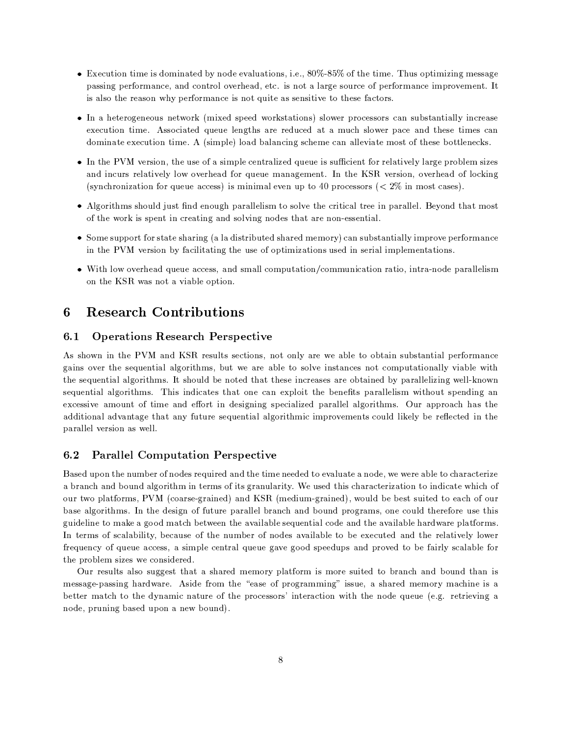- $\bullet$  Execution time is dominated by node evaluations, i.e., 80%-85% of the time. Thus optimizing message passing performance, and control overhead, etc. is not a large source of performance improvement. It is also the reason why performance is not quite as sensitive to these factors.
- In a heterogeneous network (mixed speed workstations) slower processors can substantially increase execution time. Associated queue lengths are reduced at a much slower pace and these times can dominate execution time. A (simple) load balancing scheme can alleviate most of these bottlenecks.
- In the PVM version, the use of a simple centralized queue is sufficient for relatively large problem sizes and incurs relatively low overhead for queue management. In the KSR version, overhead of locking (synchronization for queue access) is minimal even up to 40 processors ( $\lt 2\%$  in most cases).
- Algorithms should just find enough parallelism to solve the critical tree in parallel. Beyond that most of the work is spent in creating and solving nodes that are non-essential.
- Some support for state sharing (a la distributed shared memory) can substantially improve performance in the PVM version by facilitating the use of optimizations used in serial implementations.
- With low overhead queue access, and small computation/communication ratio, intra-node parallelism on the KSR was not a viable option.

### **Research Contributions** 6

#### $6.1$ **Operations Research Perspective**

As shown in the PVM and KSR results sections, not only are we able to obtain substantial performance gains over the sequential algorithms, but we are able to solve instances not computationally viable with the sequential algorithms. It should be noted that these increases are obtained by parallelizing well-known sequential algorithms. This indicates that one can exploit the benefits parallelism without spending an excessive amount of time and effort in designing specialized parallel algorithms. Our approach has the additional advantage that any future sequential algorithmic improvements could likely be reflected in the parallel version as well.

### $6.2$ **Parallel Computation Perspective**

Based upon the number of nodes required and the time needed to evaluate a node, we were able to characterize a branch and bound algorithm in terms of its granularity. We used this characterization to indicate which of our two platforms, PVM (coarse-grained) and KSR (medium-grained), would be best suited to each of our base algorithms. In the design of future parallel branch and bound programs, one could therefore use this guideline to make a good match between the available sequential code and the available hardware platforms. In terms of scalability, because of the number of nodes available to be executed and the relatively lower frequency of queue access, a simple central queue gave good speedups and proved to be fairly scalable for the problem sizes we considered.

Our results also suggest that a shared memory platform is more suited to branch and bound than is message-passing hardware. Aside from the "ease of programming" issue, a shared memory machine is a better match to the dynamic nature of the processors' interaction with the node queue (e.g. retrieving a node, pruning based upon a new bound).